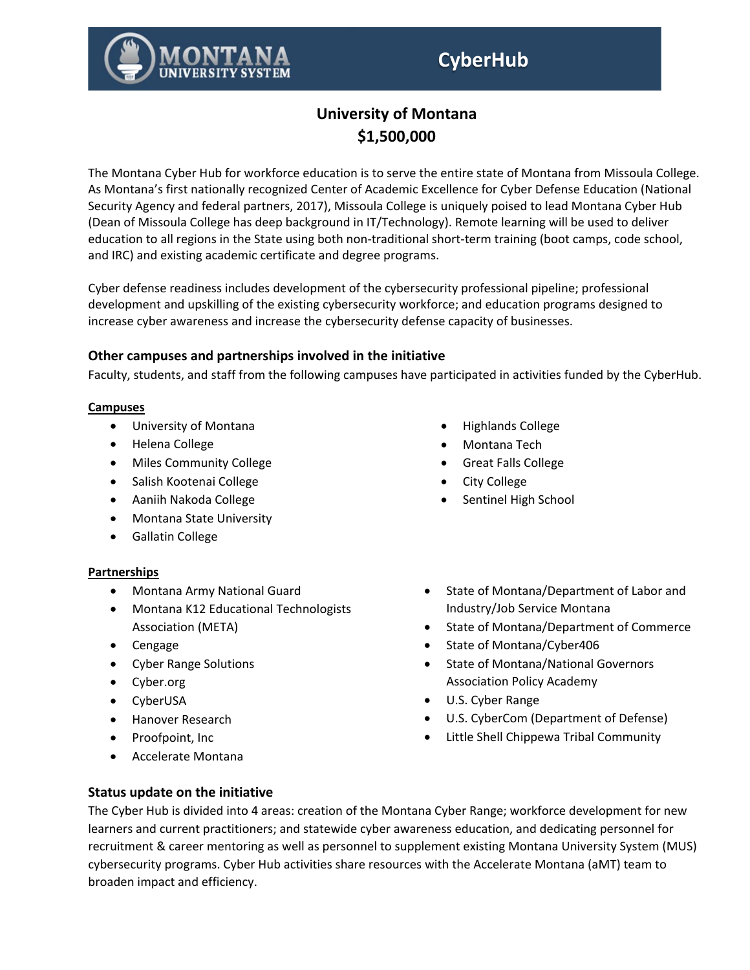# **CyberHub**



The Montana Cyber Hub for workforce education is to serve the entire state of Montana from Missoula College. As Montana's first nationally recognized Center of Academic Excellence for Cyber Defense Education (National Security Agency and federal partners, 2017), Missoula College is uniquely poised to lead Montana Cyber Hub (Dean of Missoula College has deep background in IT/Technology). Remote learning will be used to deliver education to all regions in the State using both non-traditional short-term training (boot camps, code school, and IRC) and existing academic certificate and degree programs.

Cyber defense readiness includes development of the cybersecurity professional pipeline; professional development and upskilling of the existing cybersecurity workforce; and education programs designed to increase cyber awareness and increase the cybersecurity defense capacity of businesses.

### **Other campuses and partnerships involved in the initiative**

Faculty, students, and staff from the following campuses have participated in activities funded by the CyberHub.

#### **Campuses**

- University of Montana
- Helena College
- Miles Community College
- Salish Kootenai College
- Aaniih Nakoda College
- Montana State University
- Gallatin College

#### **Partnerships**

- Montana Army National Guard
- Montana K12 Educational Technologists Association (META)
- Cengage
- Cyber Range Solutions
- Cyber.org
- CyberUSA
- Hanover Research
- Proofpoint, Inc
- Accelerate Montana
- Highlands College
- Montana Tech
- Great Falls College
- City College
- Sentinel High School
- State of Montana/Department of Labor and Industry/Job Service Montana

- State of Montana/Department of Commerce
- State of Montana/Cyber406
- State of Montana/National Governors Association Policy Academy
- U.S. Cyber Range
- U.S. CyberCom (Department of Defense)
- Little Shell Chippewa Tribal Community

#### **Status update on the initiative**

The Cyber Hub is divided into 4 areas: creation of the Montana Cyber Range; workforce development for new learners and current practitioners; and statewide cyber awareness education, and dedicating personnel for recruitment & career mentoring as well as personnel to supplement existing Montana University System (MUS) cybersecurity programs. Cyber Hub activities share resources with the Accelerate Montana (aMT) team to broaden impact and efficiency.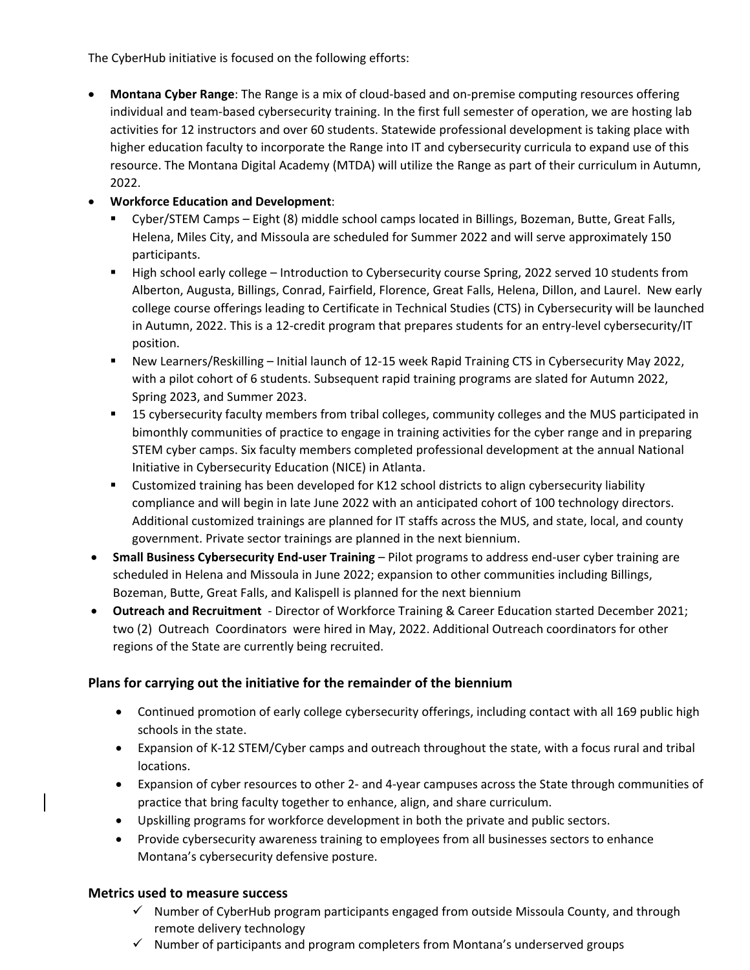The CyberHub initiative is focused on the following efforts:

• **Montana Cyber Range**: The Range is a mix of cloud-based and on-premise computing resources offering individual and team-based cybersecurity training. In the first full semester of operation, we are hosting lab activities for 12 instructors and over 60 students. Statewide professional development is taking place with higher education faculty to incorporate the Range into IT and cybersecurity curricula to expand use of this resource. The Montana Digital Academy (MTDA) will utilize the Range as part of their curriculum in Autumn, 2022.

# • **Workforce Education and Development**:

- Cyber/STEM Camps Eight (8) middle school camps located in Billings, Bozeman, Butte, Great Falls, Helena, Miles City, and Missoula are scheduled for Summer 2022 and will serve approximately 150 participants.
- **High school early college Introduction to Cybersecurity course Spring, 2022 served 10 students from** Alberton, Augusta, Billings, Conrad, Fairfield, Florence, Great Falls, Helena, Dillon, and Laurel. New early college course offerings leading to Certificate in Technical Studies (CTS) in Cybersecurity will be launched in Autumn, 2022. This is a 12-credit program that prepares students for an entry-level cybersecurity/IT position.
- New Learners/Reskilling Initial launch of 12-15 week Rapid Training CTS in Cybersecurity May 2022, with a pilot cohort of 6 students. Subsequent rapid training programs are slated for Autumn 2022, Spring 2023, and Summer 2023.
- 15 cybersecurity faculty members from tribal colleges, community colleges and the MUS participated in bimonthly communities of practice to engage in training activities for the cyber range and in preparing STEM cyber camps. Six faculty members completed professional development at the annual National Initiative in Cybersecurity Education (NICE) in Atlanta.
- Customized training has been developed for K12 school districts to align cybersecurity liability compliance and will begin in late June 2022 with an anticipated cohort of 100 technology directors. Additional customized trainings are planned for IT staffs across the MUS, and state, local, and county government. Private sector trainings are planned in the next biennium.
- **Small Business Cybersecurity End-user Training** Pilot programs to address end-user cyber training are scheduled in Helena and Missoula in June 2022; expansion to other communities including Billings, Bozeman, Butte, Great Falls, and Kalispell is planned for the next biennium
- **Outreach and Recruitment**  Director of Workforce Training & Career Education started December 2021; two (2) Outreach Coordinators were hired in May, 2022. Additional Outreach coordinators for other regions of the State are currently being recruited.

# **Plans for carrying out the initiative for the remainder of the biennium**

- Continued promotion of early college cybersecurity offerings, including contact with all 169 public high schools in the state.
- Expansion of K-12 STEM/Cyber camps and outreach throughout the state, with a focus rural and tribal locations.
- Expansion of cyber resources to other 2- and 4-year campuses across the State through communities of practice that bring faculty together to enhance, align, and share curriculum.
- Upskilling programs for workforce development in both the private and public sectors.
- Provide cybersecurity awareness training to employees from all businesses sectors to enhance Montana's cybersecurity defensive posture.

#### **Metrics used to measure success**

- $\checkmark$  Number of CyberHub program participants engaged from outside Missoula County, and through remote delivery technology
- $\checkmark$  Number of participants and program completers from Montana's underserved groups